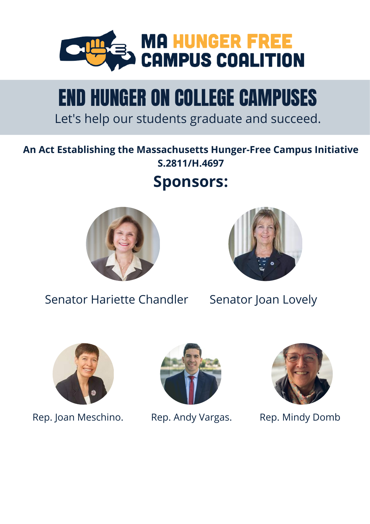

# END HUNGER ON COLLEGE CAMPUSES

Let's help our students graduate and succeed.

### **An Act Establishing the Massachusetts Hunger-Free Campus Initiative S.2811/H.4697**

# **Sponsors:**





Senator Hariette Chandler Senator Joan Lovely



Rep. Joan Meschino. Rep. Andy Vargas. Rep. Mindy Domb



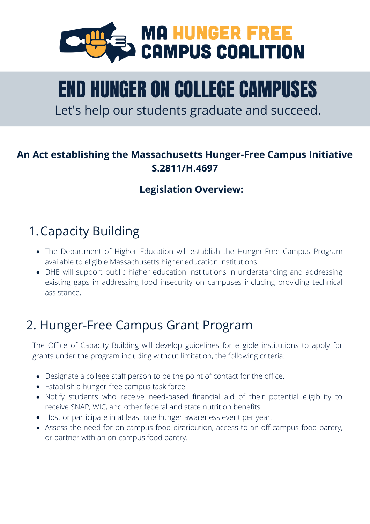

# END HUNGER ON COLLEGE CAMPUSES

Let's help our students graduate and succeed.

#### **An Act establishing the Massachusetts Hunger-Free Campus Initiative S.2811/H.4697**

#### **Legislation Overview:**

# 1.Capacity Building

- The Department of Higher Education will establish the Hunger-Free Campus Program available to eligible Massachusetts higher education institutions.
- DHE will support public higher education institutions in understanding and addressing existing gaps in addressing food insecurity on campuses including providing technical assistance.

# 2. Hunger-Free Campus Grant Program

The Office of Capacity Building will develop guidelines for eligible institutions to apply for grants under the program including without limitation, the following criteria:

- Designate a college staff person to be the point of contact for the office.
- Establish a hunger-free campus task force.
- Notify students who receive need-based financial aid of their potential eligibility to receive SNAP, WIC, and other federal and state nutrition benefits.
- Host or participate in at least one hunger awareness event per year.
- Assess the need for on-campus food distribution, access to an off-campus food pantry, or partner with an on-campus food pantry.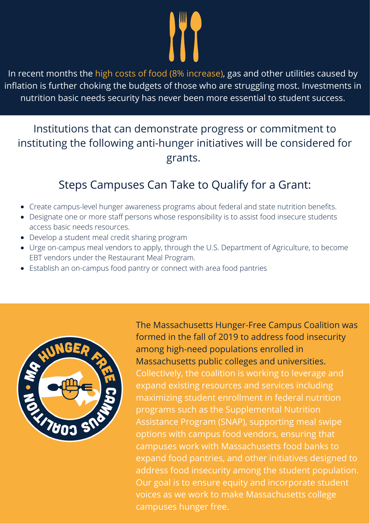In recent months the high costs of food (8% increase), gas and other utilities caused by inflation is further choking the budgets of those who are struggling most. Investments in nutrition basic needs security has never been more essential to student success.

### Institutions that can demonstrate progress or commitment to instituting the following anti-hunger initiatives will be considered for grants.

# Steps Campuses Can Take to Qualify for a Grant:

- Create campus-level hunger awareness programs about federal and state nutrition benefits.
- Designate one or more staff persons whose responsibility is to assist food insecure students access basic needs resources.
- Develop a student meal credit sharing program
- Urge on-campus meal vendors to apply, through the U.S. Department of Agriculture, to become EBT vendors under the Restaurant Meal Program.
- Establish an on-campus food pantry or connect with area food pantries



The Massachusetts Hunger-Free Campus Coalition was formed in the fall of 2019 to address food insecurity among high-need populations enrolled in Massachusetts public colleges and universities. Collectively, the coalition is working to leverage and expand existing resources and services including maximizing student enrollment in federal nutrition programs such as the Supplemental Nutrition Assistance Program (SNAP), supporting meal swipe options with campus food vendors, ensuring that campuses work with Massachusetts food banks to expand food pantries, and other initiatives designed to address food insecurity among the student population. Our goal is to ensure equity and incorporate student voices as we work to make Massachusetts college campuses hunger free.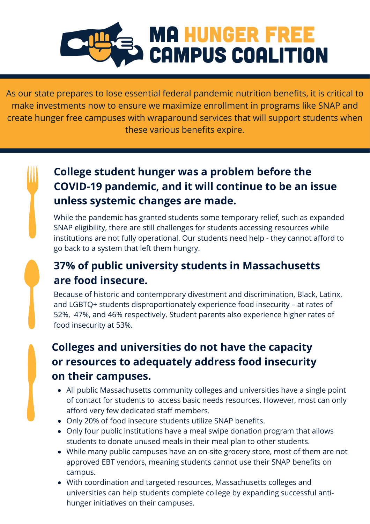

As our state prepares to lose essential federal pandemic nutrition benefits, it is critical to make investments now to ensure we maximize enrollment in programs like SNAP and create hunger free campuses with wraparound services that will support students when these various benefits expire.

## **College student hunger was a problem before the COVID-19 pandemic, and it will continue to be an issue unless systemic changes are made.**

While the pandemic has granted students some temporary relief, such as expanded SNAP eligibility, there are still challenges for students accessing resources while institutions are not fully operational. Our students need help - they cannot afford to go back to a system that left them hungry.

# **37% of public university students in Massachusetts are food insecure.**

Because of historic and contemporary divestment and discrimination, Black, Latinx, and LGBTQ+ students disproportionately experience food insecurity – at rates of 52%, 47%, and 46% respectively. Student parents also experience higher rates of food insecurity at 53%.

## **Colleges and universities do not have the capacity or resources to adequately address food insecurity on their campuses.**

- All public Massachusetts community colleges and universities have a single point of contact for students to access basic needs resources. However, most can only afford very few dedicated staff members.
- Only 20% of food insecure students utilize SNAP benefits.
- Only four public institutions have a meal swipe donation program that allows students to donate unused meals in their meal plan to other students.
- While many public campuses have an on-site grocery store, most of them are not approved EBT vendors, meaning students cannot use their SNAP benefits on campus.
- With coordination and targeted resources, Massachusetts colleges and universities can help students complete college by expanding successful antihunger initiatives on their campuses.